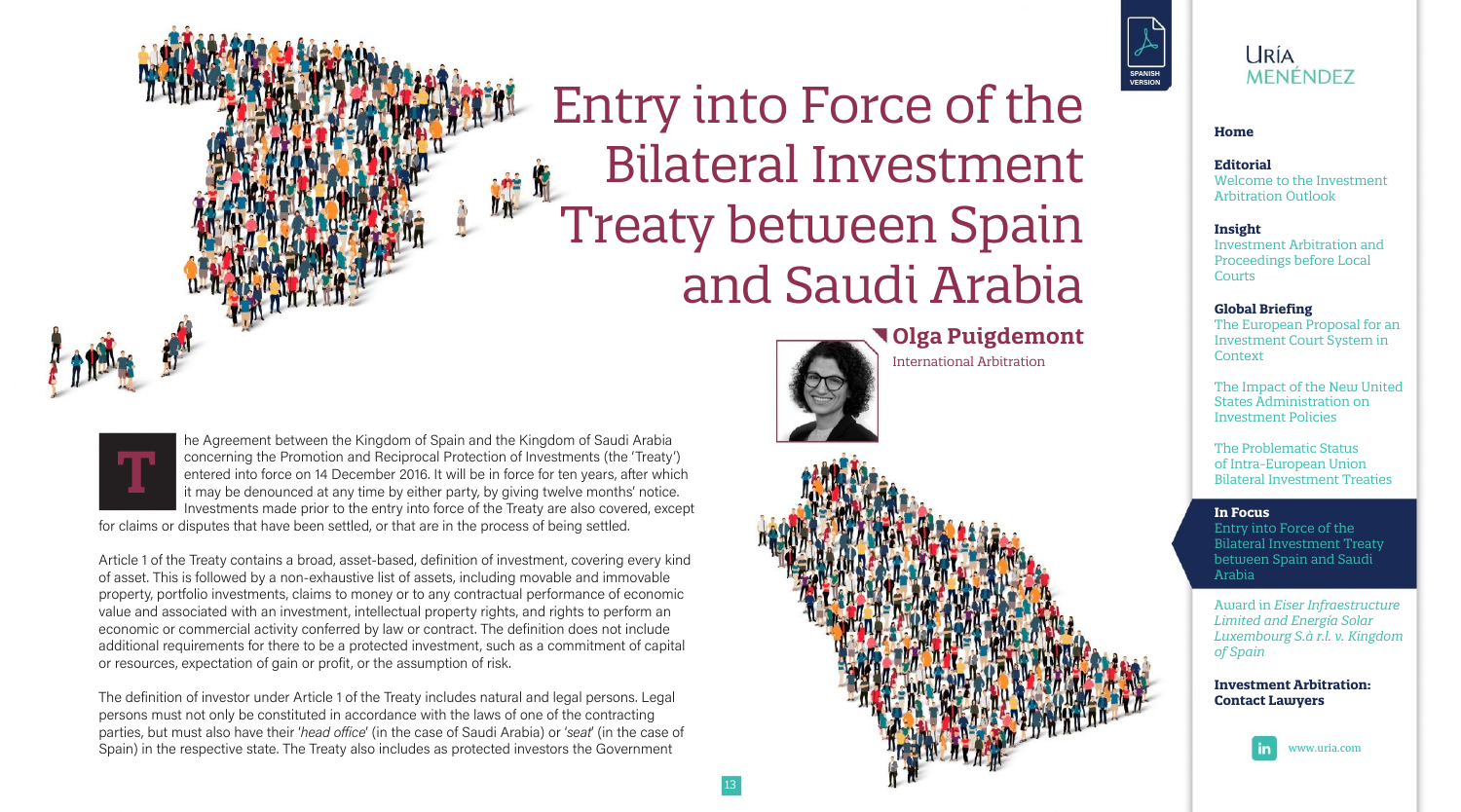# Entry into Force of the **Bilateral Investment Treaty between Spain** and Saudi Arabia

**Jolga Puigdemont** 

**International Arbitration** 



he Agreement between the Kingdom of Spain and the Kingdom of Saudi Arabia concerning the Promotion and Reciprocal Protection of Investments (the 'Treaty') entered into force on 14 December 2016. It will be in force for ten years, after which it may be denounced at any time by either party, by giving twelve months' notice. Investments made prior to the entry into force of the Treaty are also covered, except

for claims or disputes that have been settled, or that are in the process of being settled.

Article 1 of the Treaty contains a broad, asset-based, definition of investment, covering every kind of asset. This is followed by a non-exhaustive list of assets, including movable and immovable property, portfolio investments, claims to money or to any contractual performance of economic value and associated with an investment, intellectual property rights, and rights to perform an economic or commercial activity conferred by law or contract. The definition does not include additional requirements for there to be a protected investment, such as a commitment of capital or resources, expectation of gain or profit, or the assumption of risk.

The definition of investor under Article 1 of the Treaty includes natural and legal persons. Legal persons must not only be constituted in accordance with the laws of one of the contracting parties, but must also have their 'head office' (in the case of Saudi Arabia) or 'seat' (in the case of Spain) in the respective state. The Treaty also includes as protected investors the Government



### **URÍA MENÉNDEZ**

#### Home

#### Editorial

Welcome to the Investment **Arbitration Outlook** 

#### **Insight**

**Investment Arbitration and** Proceedings before Local Courts

#### **Global Briefing**

The European Proposal for an **Investment Court System in** Context

The Impact of the New United **States Administration on Investment Policies** 

The Problematic Status of Intra-European Union **Bilateral Investment Treaties** 

#### In Focus

Entry into Force of the **Bilateral Investment Treaty** between Spain and Saudi Arabia

Award in Eiser Infraestructure Limited and Energía Solar Luxembourg S.à r.l. v. Kingdom of Spain

#### **Investment Arbitration: Contact Lawyers**

www.uria.com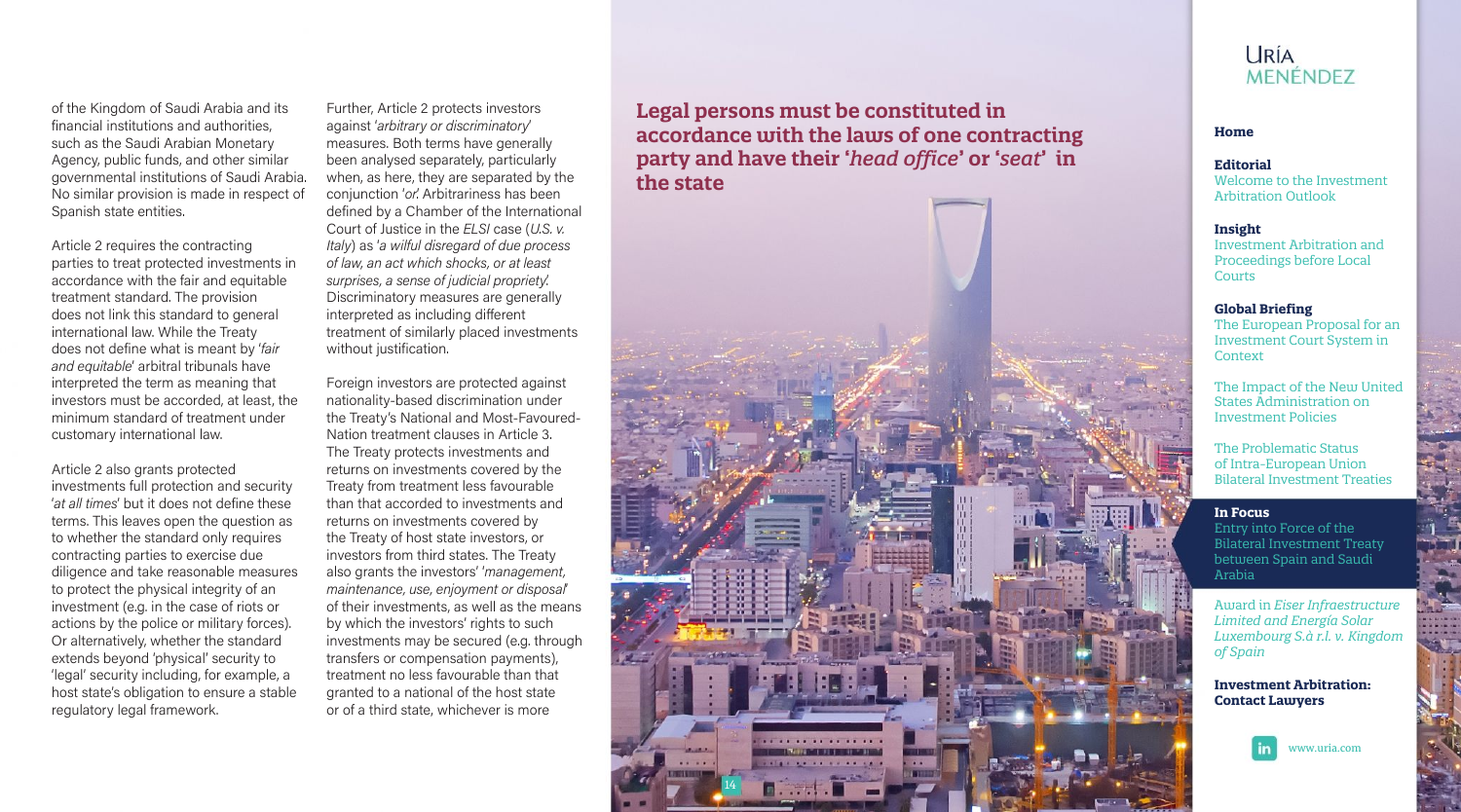of the Kingdom of Saudi Arabia and its financial institutions and authorities. such as the Saudi Arabian Monetary Agency, public funds, and other similar governmental institutions of Saudi Arabia. No similar provision is made in respect of Spanish state entities.

Article 2 requires the contracting parties to treat protected investments in accordance with the fair and equitable treatment standard. The provision does not link this standard to general international law. While the Treaty does not define what is meant by 'fair and equitable' arbitral tribunals have interpreted the term as meaning that investors must be accorded, at least, the minimum standard of treatment under customary international law.

Article 2 also grants protected investments full protection and security 'at all times' but it does not define these terms. This leaves open the question as to whether the standard only requires contracting parties to exercise due diligence and take reasonable measures to protect the physical integrity of an investment (e.g. in the case of riots or actions by the police or military forces). Or alternatively, whether the standard extends beyond 'physical' security to 'legal' security including, for example, a host state's obligation to ensure a stable regulatory legal framework.

Further, Article 2 protects investors against 'arbitrary or discriminatory' measures. Both terms have generally been analysed separately, particularly when, as here, they are separated by the conjunction 'or'. Arbitrariness has been defined by a Chamber of the International Court of Justice in the ELSI case (U.S. v. Italv) as 'a wilful disregard of due process of law, an act which shocks, or at least surprises, a sense of judicial propriety. Discriminatory measures are generally interpreted as including different treatment of similarly placed investments without justification.

Foreign investors are protected against nationality-based discrimination under the Treaty's National and Most-Favoured-Nation treatment clauses in Article 3. The Treaty protects investments and returns on investments covered by the Treaty from treatment less favourable than that accorded to investments and returns on investments covered by the Treaty of host state investors, or investors from third states. The Treaty also grants the investors' 'management, maintenance, use, enjoyment or disposal of their investments, as well as the means by which the investors' rights to such investments may be secured (e.g. through transfers or compensation payments), treatment no less favourable than that granted to a national of the host state or of a third state, whichever is more

Legal persons must be constituted in accordance with the laws of one contracting party and have their 'head office' or 'seat' in the state



### **URÍA MENÉNDEZ**

#### Home

#### Editorial

Welcome to the Investment **Arbitration Outlook** 

#### **Insight**

**Investment Arbitration and** Proceedings before Local Courts

#### **Global Briefing**

The European Proposal for an **Investment Court System in** Context

The Impact of the New United **States Administration on Investment Policies** 

The Problematic Status of Intra-European Union **Bilateral Investment Treaties** 

#### In Focus

Entry into Force of the **Bilateral Investment Treaty** between Spain and Saudi Arabia

Award in Eiser Infraestructure Limited and Energía Solar Luxembourg S.à r.l. v. Kingdom of Spain

#### **Investment Arbitration: Contact Lawyers**



www.uria.com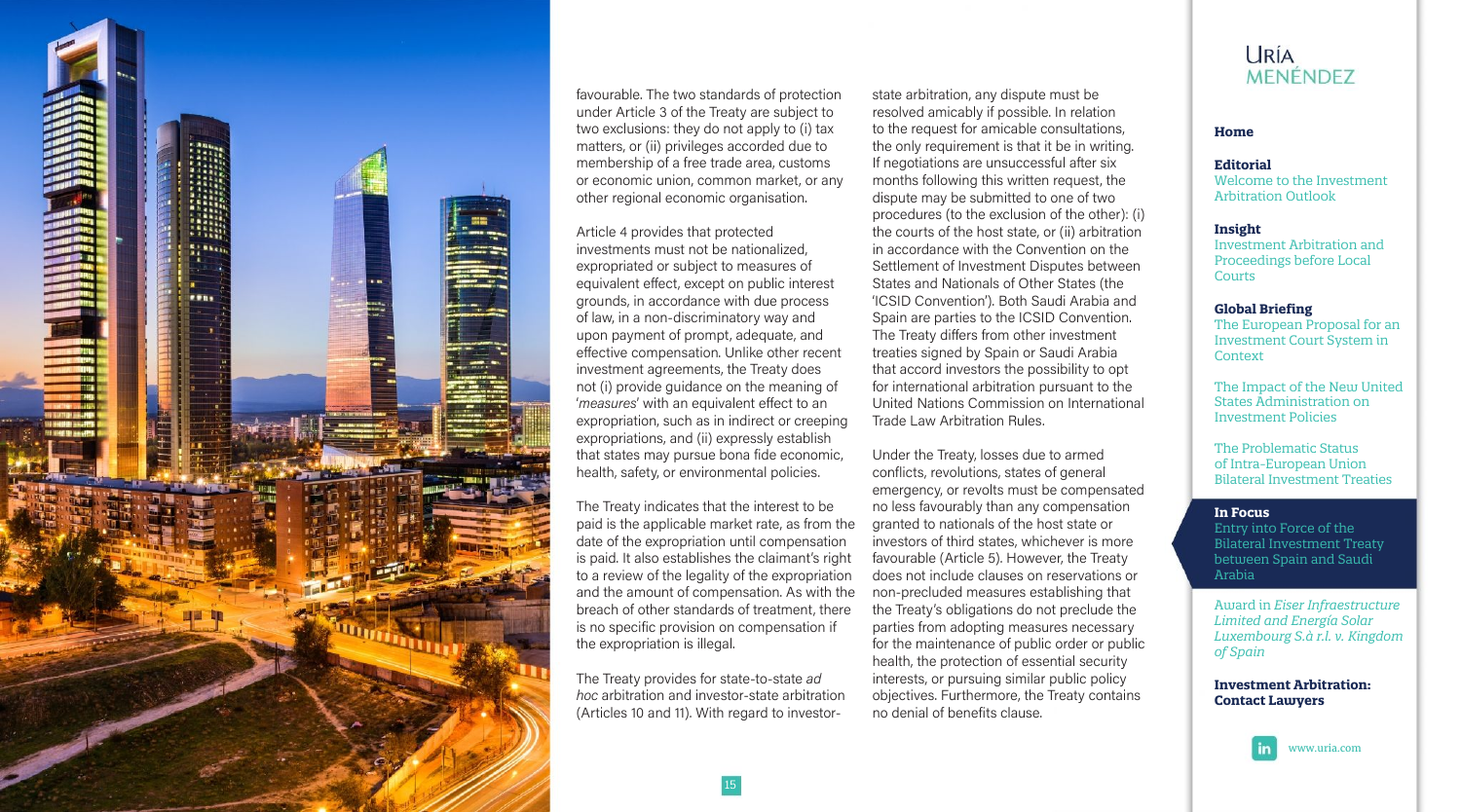

favourable. The two standards of protection under Article 3 of the Treaty are subject to two exclusions: they do not apply to (i) tax matters, or (ii) privileges accorded due to membership of a free trade area, customs or economic union, common market, or any other regional economic organisation.

Article 4 provides that protected investments must not be nationalized. expropriated or subject to measures of equivalent effect, except on public interest grounds, in accordance with due process of law, in a non-discriminatory way and upon payment of prompt, adequate, and effective compensation. Unlike other recent investment agreements, the Treaty does not (i) provide guidance on the meaning of 'measures' with an equivalent effect to an expropriation, such as in indirect or creeping expropriations, and (ii) expressly establish that states may pursue bona fide economic, health, safety, or environmental policies.

The Treaty indicates that the interest to be paid is the applicable market rate, as from the date of the expropriation until compensation is paid. It also establishes the claimant's right to a review of the legality of the expropriation and the amount of compensation. As with the breach of other standards of treatment, there is no specific provision on compensation if the expropriation is illegal.

The Treaty provides for state-to-state ad hoc arbitration and investor-state arbitration (Articles 10 and 11). With regard to investor-

state arbitration, any dispute must be resolved amicably if possible. In relation to the request for amicable consultations. the only requirement is that it be in writing. If negotiations are unsuccessful after six months following this written request, the dispute may be submitted to one of two procedures (to the exclusion of the other): (i) the courts of the host state, or (ii) arbitration in accordance with the Convention on the Settlement of Investment Disputes between States and Nationals of Other States (the 'ICSID Convention'). Both Saudi Arabia and Spain are parties to the ICSID Convention. The Treaty differs from other investment treaties signed by Spain or Saudi Arabia that accord investors the possibility to opt for international arbitration pursuant to the United Nations Commission on International Trade Law Arbitration Rules.

Under the Treaty, losses due to armed conflicts, revolutions, states of general emergency, or revolts must be compensated no less favourably than any compensation granted to nationals of the host state or investors of third states, whichever is more favourable (Article 5). However, the Treaty does not include clauses on reservations or non-precluded measures establishing that the Treaty's obligations do not preclude the parties from adopting measures necessary for the maintenance of public order or public health, the protection of essential security interests, or pursuing similar public policy objectives. Furthermore, the Treaty contains no denial of benefits clause.

## **URÍA** MENÉNDEZ

#### Home

#### Editorial

Welcome to the Investment **Arbitration Outlook** 

#### **Insight**

**Investment Arbitration and** Proceedings before Local Courts

#### **Global Briefing**

The European Proposal for an **Investment Court System in** Context

The Impact of the New United **States Administration on Investment Policies** 

The Problematic Status of Intra-European Union **Bilateral Investment Treaties** 

#### In Focus

Entry into Force of the **Bilateral Investment Treaty** between Spain and Saudi Arabia

Award in Eiser Infraestructure Limited and Energía Solar Luxembourg S.à r.l. v. Kingdom of Spain

#### **Investment Arbitration: Contact Lawyers**

www.uria.com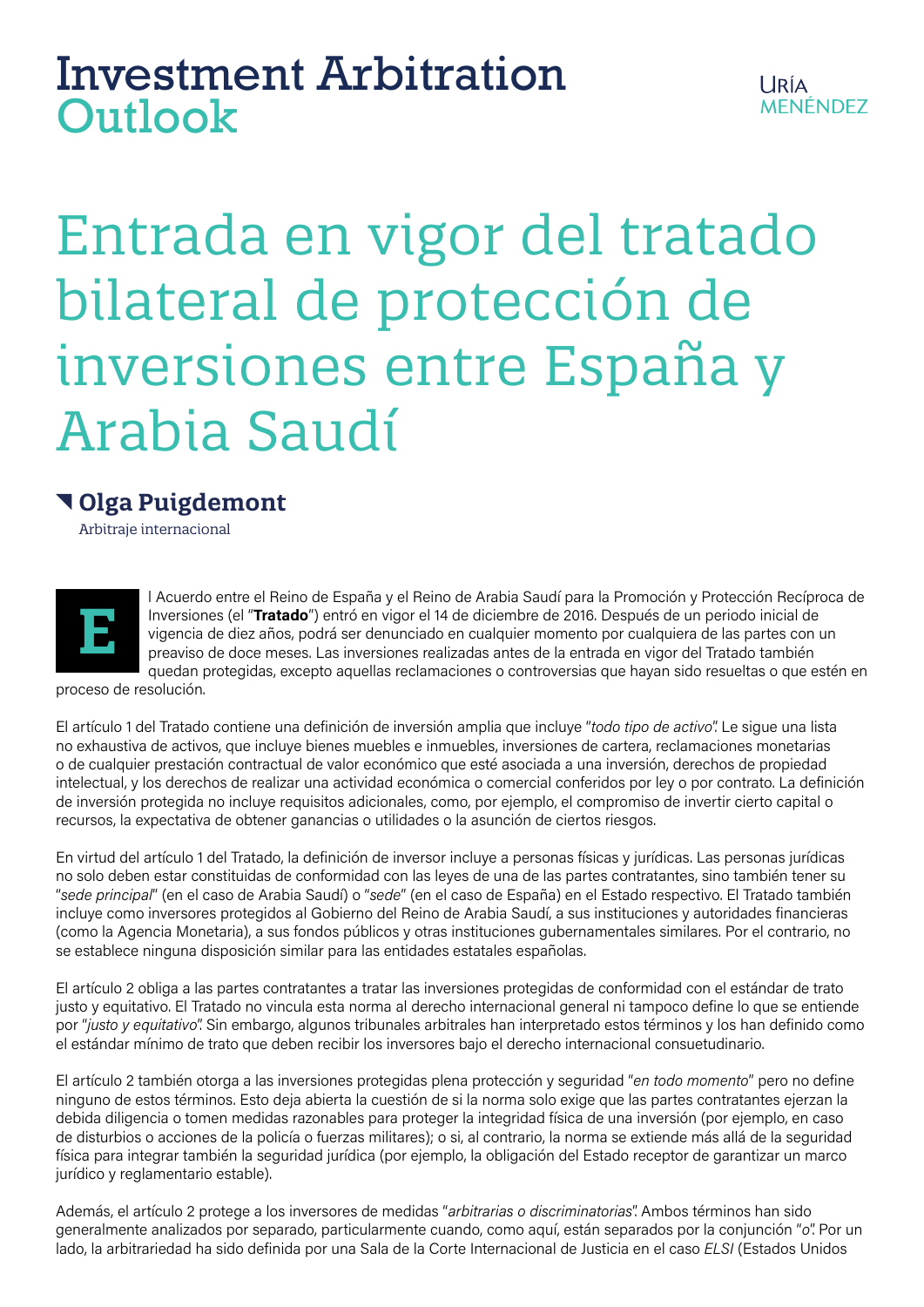# Investment Arbitration Outlook

# Entrada en vigor del tratado bilateral de protección de inversiones entre España y Arabia Saudí

# **Olga Puigdemont**

Arbitraje internacional



l Acuerdo entre el Reino de España y el Reino de Arabia Saudí para la Promoción y Protección Recíproca de Inversiones (el "**Tratado**") entró en vigor el 14 de diciembre de 2016. Después de un periodo inicial de vigencia de diez años, podrá ser denunciado en cualquier momento por cualquiera de las partes con un preaviso de doce meses. Las inversiones realizadas antes de la entrada en vigor del Tratado también quedan protegidas, excepto aquellas reclamaciones o controversias que hayan sido resueltas o que estén en

proceso de resolución.

El artículo 1 del Tratado contiene una definición de inversión amplia que incluye "*todo tipo de activo*". Le sigue una lista no exhaustiva de activos, que incluye bienes muebles e inmuebles, inversiones de cartera, reclamaciones monetarias o de cualquier prestación contractual de valor económico que esté asociada a una inversión, derechos de propiedad intelectual, y los derechos de realizar una actividad económica o comercial conferidos por ley o por contrato. La definición de inversión protegida no incluye requisitos adicionales, como, por ejemplo, el compromiso de invertir cierto capital o recursos, la expectativa de obtener ganancias o utilidades o la asunción de ciertos riesgos.

En virtud del artículo 1 del Tratado, la definición de inversor incluye a personas físicas y jurídicas. Las personas jurídicas no solo deben estar constituidas de conformidad con las leyes de una de las partes contratantes, sino también tener su "*sede principal*" (en el caso de Arabia Saudí) o "*sede*" (en el caso de España) en el Estado respectivo. El Tratado también incluye como inversores protegidos al Gobierno del Reino de Arabia Saudí, a sus instituciones y autoridades financieras (como la Agencia Monetaria), a sus fondos públicos y otras instituciones gubernamentales similares. Por el contrario, no se establece ninguna disposición similar para las entidades estatales españolas.

El artículo 2 obliga a las partes contratantes a tratar las inversiones protegidas de conformidad con el estándar de trato justo y equitativo. El Tratado no vincula esta norma al derecho internacional general ni tampoco define lo que se entiende por "*justo y equitativo*". Sin embargo, algunos tribunales arbitrales han interpretado estos términos y los han definido como el estándar mínimo de trato que deben recibir los inversores bajo el derecho internacional consuetudinario.

El artículo 2 también otorga a las inversiones protegidas plena protección y seguridad "*en todo momento*" pero no define ninguno de estos términos. Esto deja abierta la cuestión de si la norma solo exige que las partes contratantes ejerzan la debida diligencia o tomen medidas razonables para proteger la integridad física de una inversión (por ejemplo, en caso de disturbios o acciones de la policía o fuerzas militares); o si, al contrario, la norma se extiende más allá de la seguridad física para integrar también la seguridad jurídica (por ejemplo, la obligación del Estado receptor de garantizar un marco jurídico y reglamentario estable).

Además, el artículo 2 protege a los inversores de medidas "*arbitrarias o discriminatorias*". Ambos términos han sido generalmente analizados por separado, particularmente cuando, como aquí, están separados por la conjunción "*o*". Por un lado, la arbitrariedad ha sido definida por una Sala de la Corte Internacional de Justicia en el caso *ELSI* (Estados Unidos